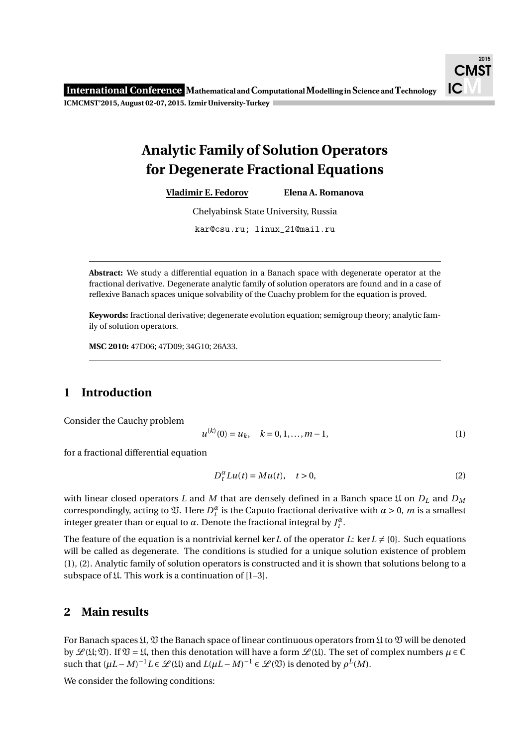# **Analytic Family of Solution Operators for Degenerate Fractional Equations**

**Vladimir E. Fedorov Elena A. Romanova**

Chelyabinsk State University, Russia

kar@csu.ru; linux\_21@mail.ru

**Abstract:** We study a differential equation in a Banach space with degenerate operator at the fractional derivative. Degenerate analytic family of solution operators are found and in a case of reflexive Banach spaces unique solvability of the Cuachy problem for the equation is proved.

**Keywords:** fractional derivative; degenerate evolution equation; semigroup theory; analytic family of solution operators.

**MSC 2010:** 47D06; 47D09; 34G10; 26A33.

# **1 Introduction**

Consider the Cauchy problem

$$
u^{(k)}(0) = u_k, \quad k = 0, 1, \dots, m - 1,\tag{1}
$$

for a fractional differential equation

$$
D_t^{\alpha} Lu(t) = Mu(t), \quad t > 0,
$$
\n<sup>(2)</sup>

with linear closed operators *L* and *M* that are densely defined in a Banch space *L* on  $D<sub>L</sub>$  and  $D<sub>M</sub>$ correspondingly, acting to  $\mathfrak V$ . Here  $D_t^{\alpha}$  is the Caputo fractional derivative with  $\alpha > 0$ , *m* is a smallest integer greater than or equal to  $\alpha$ . Denote the fractional integral by  $J_t^{\alpha}$ .

The feature of the equation is a nontrivial kernel ker L of the operator L: ker  $L \neq \{0\}$ . Such equations will be called as degenerate. The conditions is studied for a unique solution existence of problem (1), (2). Analytic family of solution operators is constructed and it is shown that solutions belong to a subspace of  $\mathfrak U$ . This work is a continuation of [1–3].

# **2 Main results**

For Banach spaces  $\mathfrak{U}, \mathfrak{V}$  the Banach space of linear continuous operators from  $\mathfrak{U}$  to  $\mathfrak{V}$  will be denoted by  $\mathcal{L}(\mathfrak{U};\mathfrak{V})$ . If  $\mathfrak{V} = \mathfrak{U}$ , then this denotation will have a form  $\mathcal{L}(\mathfrak{U})$ . The set of complex numbers  $\mu \in \mathbb{C}$ such that  $(\mu L - M)^{-1} L \in \mathcal{L}(\mathfrak{U})$  and  $L(\mu L - M)^{-1} \in \mathcal{L}(\mathfrak{V})$  is denoted by  $\rho^L(M)$ .

We consider the following conditions: